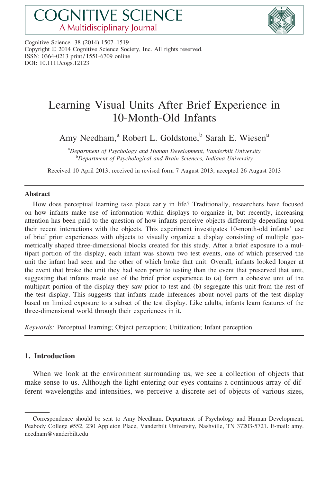# **COGNITIVE SCIENCE** A Multidisciplinary Journal



Cognitive Science 38 (2014) 1507–1519 Copyright © 2014 Cognitive Science Society, Inc. All rights reserved. ISSN: 0364-0213 print / 1551-6709 online DOI: 10.1111/cogs.12123

# Learning Visual Units After Brief Experience in 10-Month-Old Infants

Amy Needham,<sup>a</sup> Robert L. Goldstone,<sup>b</sup> Sarah E. Wiesen<sup>a</sup>

<sup>a</sup>Department of Psychology and Human Development, Vanderbilt University<br><sup>b</sup>Department of Psychological and Prain Sciences, Indiana University <sup>b</sup>Department of Psychological and Brain Sciences, Indiana University

Received 10 April 2013; received in revised form 7 August 2013; accepted 26 August 2013

#### Abstract

How does perceptual learning take place early in life? Traditionally, researchers have focused on how infants make use of information within displays to organize it, but recently, increasing attention has been paid to the question of how infants perceive objects differently depending upon their recent interactions with the objects. This experiment investigates 10-month-old infants' use of brief prior experiences with objects to visually organize a display consisting of multiple geometrically shaped three-dimensional blocks created for this study. After a brief exposure to a multipart portion of the display, each infant was shown two test events, one of which preserved the unit the infant had seen and the other of which broke that unit. Overall, infants looked longer at the event that broke the unit they had seen prior to testing than the event that preserved that unit, suggesting that infants made use of the brief prior experience to (a) form a cohesive unit of the multipart portion of the display they saw prior to test and (b) segregate this unit from the rest of the test display. This suggests that infants made inferences about novel parts of the test display based on limited exposure to a subset of the test display. Like adults, infants learn features of the three-dimensional world through their experiences in it.

Keywords: Perceptual learning; Object perception; Unitization; Infant perception

# 1. Introduction

When we look at the environment surrounding us, we see a collection of objects that make sense to us. Although the light entering our eyes contains a continuous array of different wavelengths and intensities, we perceive a discrete set of objects of various sizes,

Correspondence should be sent to Amy Needham, Department of Psychology and Human Development, Peabody College #552, 230 Appleton Place, Vanderbilt University, Nashville, TN 37203-5721. E-mail: amy. needham@vanderbilt.edu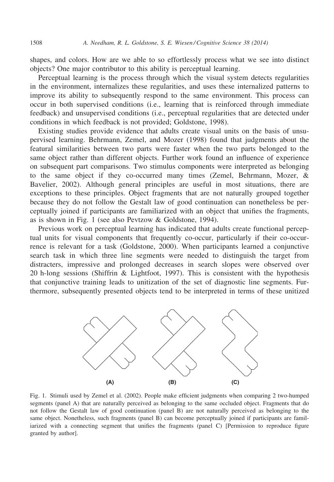shapes, and colors. How are we able to so effortlessly process what we see into distinct objects? One major contributor to this ability is perceptual learning.

Perceptual learning is the process through which the visual system detects regularities in the environment, internalizes these regularities, and uses these internalized patterns to improve its ability to subsequently respond to the same environment. This process can occur in both supervised conditions (i.e., learning that is reinforced through immediate feedback) and unsupervised conditions (i.e., perceptual regularities that are detected under conditions in which feedback is not provided; Goldstone, 1998).

Existing studies provide evidence that adults create visual units on the basis of unsupervised learning. Behrmann, Zemel, and Mozer (1998) found that judgments about the featural similarities between two parts were faster when the two parts belonged to the same object rather than different objects. Further work found an influence of experience on subsequent part comparisons. Two stimulus components were interpreted as belonging to the same object if they co-occurred many times (Zemel, Behrmann, Mozer, & Bavelier, 2002). Although general principles are useful in most situations, there are exceptions to these principles. Object fragments that are not naturally grouped together because they do not follow the Gestalt law of good continuation can nonetheless be perceptually joined if participants are familiarized with an object that unifies the fragments, as is shown in Fig. 1 (see also Pevtzow & Goldstone, 1994).

Previous work on perceptual learning has indicated that adults create functional perceptual units for visual components that frequently co-occur, particularly if their co-occurrence is relevant for a task (Goldstone, 2000). When participants learned a conjunctive search task in which three line segments were needed to distinguish the target from distracters, impressive and prolonged decreases in search slopes were observed over 20 h-long sessions (Shiffrin & Lightfoot, 1997). This is consistent with the hypothesis that conjunctive training leads to unitization of the set of diagnostic line segments. Furthermore, subsequently presented objects tend to be interpreted in terms of these unitized



Fig. 1. Stimuli used by Zemel et al. (2002). People make efficient judgments when comparing 2 two-humped segments (panel A) that are naturally perceived as belonging to the same occluded object. Fragments that do not follow the Gestalt law of good continuation (panel B) are not naturally perceived as belonging to the same object. Nonetheless, such fragments (panel B) can become perceptually joined if participants are familiarized with a connecting segment that unifies the fragments (panel C) [Permission to reproduce figure granted by author].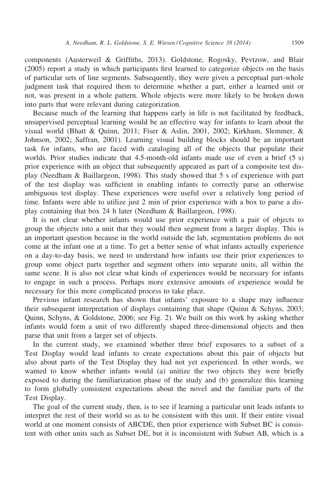components (Austerweil & Griffiths, 2013). Goldstone, Rogosky, Pevtzow, and Blair (2005) report a study in which participants first learned to categorize objects on the basis of particular sets of line segments. Subsequently, they were given a perceptual part-whole judgment task that required them to determine whether a part, either a learned unit or not, was present in a whole pattern. Whole objects were more likely to be broken down into parts that were relevant during categorization.

Because much of the learning that happens early in life is not facilitated by feedback, unsupervised perceptual learning would be an effective way for infants to learn about the visual world (Bhatt & Quinn, 2011; Fiser & Aslin, 2001, 2002; Kirkham, Slemmer, & Johnson, 2002; Saffran, 2001). Learning visual building blocks should be an important task for infants, who are faced with cataloging all of the objects that populate their worlds. Prior studies indicate that 4.5-month-old infants made use of even a brief (5 s) prior experience with an object that subsequently appeared as part of a composite test display (Needham & Baillargeon, 1998). This study showed that 5 s of experience with part of the test display was sufficient in enabling infants to correctly parse an otherwise ambiguous test display. These experiences were useful over a relatively long period of time. Infants were able to utilize just 2 min of prior experience with a box to parse a display containing that box 24 h later (Needham & Baillargeon, 1998).

It is not clear whether infants would use prior experience with a pair of objects to group the objects into a unit that they would then segment from a larger display. This is an important question because in the world outside the lab, segmentation problems do not come at the infant one at a time. To get a better sense of what infants actually experience on a day-to-day basis, we need to understand how infants use their prior experiences to group some object parts together and segment others into separate units, all within the same scene. It is also not clear what kinds of experiences would be necessary for infants to engage in such a process. Perhaps more extensive amounts of experience would be necessary for this more complicated process to take place.

Previous infant research has shown that infants' exposure to a shape may influence their subsequent interpretation of displays containing that shape (Quinn & Schyns, 2003; Quinn, Schyns, & Goldstone, 2006; see Fig. 2). We built on this work by asking whether infants would form a unit of two differently shaped three-dimensional objects and then parse that unit from a larger set of objects.

In the current study, we examined whether three brief exposures to a subset of a Test Display would lead infants to create expectations about this pair of objects but also about parts of the Test Display they had not yet experienced. In other words, we wanted to know whether infants would (a) unitize the two objects they were briefly exposed to during the familiarization phase of the study and (b) generalize this learning to form globally consistent expectations about the novel and the familiar parts of the Test Display.

The goal of the current study, then, is to see if learning a particular unit leads infants to interpret the rest of their world so as to be consistent with this unit. If their entire visual world at one moment consists of ABCDE, then prior experience with Subset BC is consistent with other units such as Subset DE, but it is inconsistent with Subset AB, which is a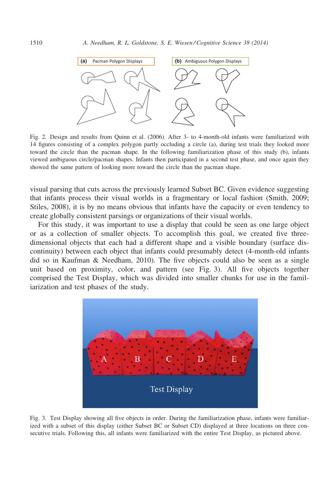

Fig. 2. Design and results from Quinn et al. (2006). After 3- to 4-month-old infants were familiarized with 14 figures consisting of a complex polygon partly occluding a circle (a), during test trials they looked more toward the circle than the pacman shape. In the following familiarization phase of this study (b), infants viewed ambiguous circle/pacman shapes. Infants then participated in a second test phase, and once again they showed the same pattern of looking more toward the circle than the pacman shape.

visual parsing that cuts across the previously learned Subset BC. Given evidence suggesting that infants process their visual worlds in a fragmentary or local fashion (Smith, 2009; Stiles, 2008), it is by no means obvious that infants have the capacity or even tendency to create globally consistent parsings or organizations of their visual worlds.

For this study, it was important to use a display that could be seen as one large object or as a collection of smaller objects. To accomplish this goal, we created five threedimensional objects that each had a different shape and a visible boundary (surface discontinuity) between each object that infants could presumably detect (4-month-old infants did so in Kaufman & Needham, 2010). The five objects could also be seen as a single unit based on proximity, color, and pattern (see Fig. 3). All five objects together comprised the Test Display, which was divided into smaller chunks for use in the familiarization and test phases of the study.



Fig. 3. Test Display showing all five objects in order. During the familiarization phase, infants were familiarized with a subset of this display (either Subset BC or Subset CD) displayed at three locations on three consecutive trials. Following this, all infants were familiarized with the entire Test Display, as pictured above.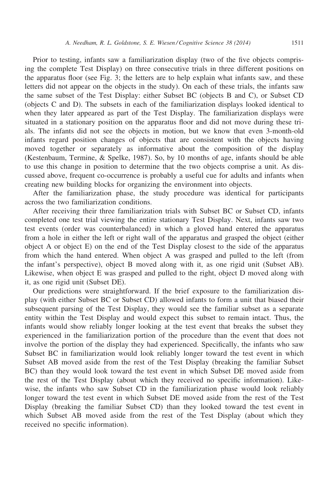Prior to testing, infants saw a familiarization display (two of the five objects comprising the complete Test Display) on three consecutive trials in three different positions on the apparatus floor (see Fig. 3; the letters are to help explain what infants saw, and these letters did not appear on the objects in the study). On each of these trials, the infants saw the same subset of the Test Display: either Subset BC (objects B and C), or Subset CD (objects C and D). The subsets in each of the familiarization displays looked identical to when they later appeared as part of the Test Display. The familiarization displays were situated in a stationary position on the apparatus floor and did not move during these trials. The infants did not see the objects in motion, but we know that even 3-month-old infants regard position changes of objects that are consistent with the objects having moved together or separately as informative about the composition of the display (Kestenbaum, Termine, & Spelke, 1987). So, by 10 months of age, infants should be able to use this change in position to determine that the two objects comprise a unit. As discussed above, frequent co-occurrence is probably a useful cue for adults and infants when creating new building blocks for organizing the environment into objects.

After the familiarization phase, the study procedure was identical for participants across the two familiarization conditions.

After receiving their three familiarization trials with Subset BC or Subset CD, infants completed one test trial viewing the entire stationary Test Display. Next, infants saw two test events (order was counterbalanced) in which a gloved hand entered the apparatus from a hole in either the left or right wall of the apparatus and grasped the object (either object A or object E) on the end of the Test Display closest to the side of the apparatus from which the hand entered. When object A was grasped and pulled to the left (from the infant's perspective), object B moved along with it, as one rigid unit (Subset AB). Likewise, when object E was grasped and pulled to the right, object D moved along with it, as one rigid unit (Subset DE).

Our predictions were straightforward. If the brief exposure to the familiarization display (with either Subset BC or Subset CD) allowed infants to form a unit that biased their subsequent parsing of the Test Display, they would see the familiar subset as a separate entity within the Test Display and would expect this subset to remain intact. Thus, the infants would show reliably longer looking at the test event that breaks the subset they experienced in the familiarization portion of the procedure than the event that does not involve the portion of the display they had experienced. Specifically, the infants who saw Subset BC in familiarization would look reliably longer toward the test event in which Subset AB moved aside from the rest of the Test Display (breaking the familiar Subset BC) than they would look toward the test event in which Subset DE moved aside from the rest of the Test Display (about which they received no specific information). Likewise, the infants who saw Subset CD in the familiarization phase would look reliably longer toward the test event in which Subset DE moved aside from the rest of the Test Display (breaking the familiar Subset CD) than they looked toward the test event in which Subset AB moved aside from the rest of the Test Display (about which they received no specific information).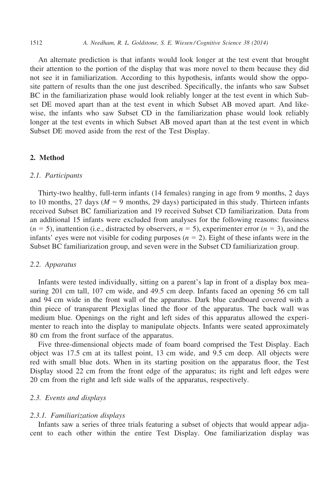An alternate prediction is that infants would look longer at the test event that brought their attention to the portion of the display that was more novel to them because they did not see it in familiarization. According to this hypothesis, infants would show the opposite pattern of results than the one just described. Specifically, the infants who saw Subset BC in the familiarization phase would look reliably longer at the test event in which Subset DE moved apart than at the test event in which Subset AB moved apart. And likewise, the infants who saw Subset CD in the familiarization phase would look reliably longer at the test events in which Subset AB moved apart than at the test event in which Subset DE moved aside from the rest of the Test Display.

#### 2. Method

#### 2.1. Participants

Thirty-two healthy, full-term infants (14 females) ranging in age from 9 months, 2 days to 10 months, 27 days ( $M = 9$  months, 29 days) participated in this study. Thirteen infants received Subset BC familiarization and 19 received Subset CD familiarization. Data from an additional 15 infants were excluded from analyses for the following reasons: fussiness  $(n = 5)$ , inattention (i.e., distracted by observers,  $n = 5$ ), experimenter error  $(n = 3)$ , and the infants' eyes were not visible for coding purposes  $(n = 2)$ . Eight of these infants were in the Subset BC familiarization group, and seven were in the Subset CD familiarization group.

### 2.2. Apparatus

Infants were tested individually, sitting on a parent's lap in front of a display box measuring 201 cm tall, 107 cm wide, and 49.5 cm deep. Infants faced an opening 56 cm tall and 94 cm wide in the front wall of the apparatus. Dark blue cardboard covered with a thin piece of transparent Plexiglas lined the floor of the apparatus. The back wall was medium blue. Openings on the right and left sides of this apparatus allowed the experimenter to reach into the display to manipulate objects. Infants were seated approximately 80 cm from the front surface of the apparatus.

Five three-dimensional objects made of foam board comprised the Test Display. Each object was 17.5 cm at its tallest point, 13 cm wide, and 9.5 cm deep. All objects were red with small blue dots. When in its starting position on the apparatus floor, the Test Display stood 22 cm from the front edge of the apparatus; its right and left edges were 20 cm from the right and left side walls of the apparatus, respectively.

#### 2.3. Events and displays

#### 2.3.1. Familiarization displays

Infants saw a series of three trials featuring a subset of objects that would appear adjacent to each other within the entire Test Display. One familiarization display was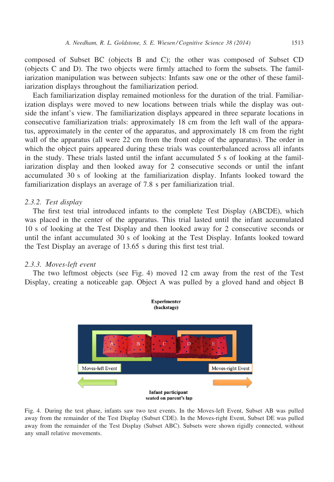composed of Subset BC (objects B and C); the other was composed of Subset CD (objects C and D). The two objects were firmly attached to form the subsets. The familiarization manipulation was between subjects: Infants saw one or the other of these familiarization displays throughout the familiarization period.

Each familiarization display remained motionless for the duration of the trial. Familiarization displays were moved to new locations between trials while the display was outside the infant's view. The familiarization displays appeared in three separate locations in consecutive familiarization trials: approximately 18 cm from the left wall of the apparatus, approximately in the center of the apparatus, and approximately 18 cm from the right wall of the apparatus (all were 22 cm from the front edge of the apparatus). The order in which the object pairs appeared during these trials was counterbalanced across all infants in the study. These trials lasted until the infant accumulated 5 s of looking at the familiarization display and then looked away for 2 consecutive seconds or until the infant accumulated 30 s of looking at the familiarization display. Infants looked toward the familiarization displays an average of 7.8 s per familiarization trial.

## 2.3.2. Test display

The first test trial introduced infants to the complete Test Display (ABCDE), which was placed in the center of the apparatus. This trial lasted until the infant accumulated 10 s of looking at the Test Display and then looked away for 2 consecutive seconds or until the infant accumulated 30 s of looking at the Test Display. Infants looked toward the Test Display an average of 13.65 s during this first test trial.

## 2.3.3. Moves-left event

The two leftmost objects (see Fig. 4) moved 12 cm away from the rest of the Test Display, creating a noticeable gap. Object A was pulled by a gloved hand and object B



Fig. 4. During the test phase, infants saw two test events. In the Moves-left Event, Subset AB was pulled away from the remainder of the Test Display (Subset CDE). In the Moves-right Event, Subset DE was pulled away from the remainder of the Test Display (Subset ABC). Subsets were shown rigidly connected, without any small relative movements.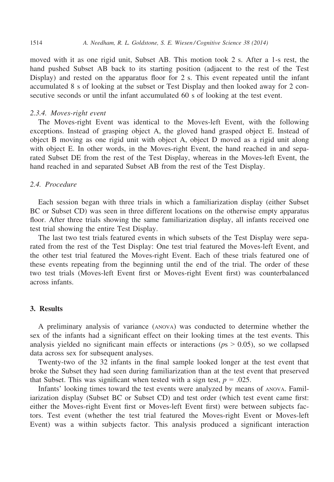moved with it as one rigid unit, Subset AB. This motion took 2 s. After a 1-s rest, the hand pushed Subset AB back to its starting position (adjacent to the rest of the Test Display) and rested on the apparatus floor for 2 s. This event repeated until the infant accumulated 8 s of looking at the subset or Test Display and then looked away for 2 consecutive seconds or until the infant accumulated 60 s of looking at the test event.

## 2.3.4. Moves-right event

The Moves-right Event was identical to the Moves-left Event, with the following exceptions. Instead of grasping object A, the gloved hand grasped object E. Instead of object B moving as one rigid unit with object A, object D moved as a rigid unit along with object E. In other words, in the Moves-right Event, the hand reached in and separated Subset DE from the rest of the Test Display, whereas in the Moves-left Event, the hand reached in and separated Subset AB from the rest of the Test Display.

# 2.4. Procedure

Each session began with three trials in which a familiarization display (either Subset BC or Subset CD) was seen in three different locations on the otherwise empty apparatus floor. After three trials showing the same familiarization display, all infants received one test trial showing the entire Test Display.

The last two test trials featured events in which subsets of the Test Display were separated from the rest of the Test Display: One test trial featured the Moves-left Event, and the other test trial featured the Moves-right Event. Each of these trials featured one of these events repeating from the beginning until the end of the trial. The order of these two test trials (Moves-left Event first or Moves-right Event first) was counterbalanced across infants.

## 3. Results

A preliminary analysis of variance (ANOVA) was conducted to determine whether the sex of the infants had a significant effect on their looking times at the test events. This analysis yielded no significant main effects or interactions ( $ps > 0.05$ ), so we collapsed data across sex for subsequent analyses.

Twenty-two of the 32 infants in the final sample looked longer at the test event that broke the Subset they had seen during familiarization than at the test event that preserved that Subset. This was significant when tested with a sign test,  $p = .025$ .

Infants' looking times toward the test events were analyzed by means of ANOVA. Familiarization display (Subset BC or Subset CD) and test order (which test event came first: either the Moves-right Event first or Moves-left Event first) were between subjects factors. Test event (whether the test trial featured the Moves-right Event or Moves-left Event) was a within subjects factor. This analysis produced a significant interaction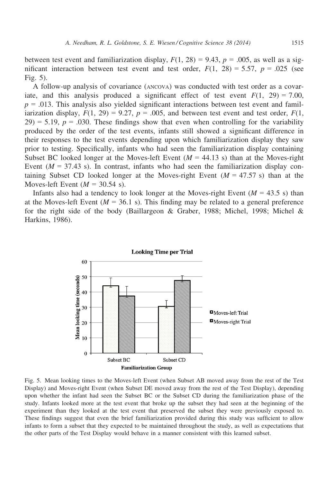between test event and familiarization display,  $F(1, 28) = 9.43$ ,  $p = .005$ , as well as a significant interaction between test event and test order,  $F(1, 28) = 5.57$ ,  $p = .025$  (see Fig. 5).

A follow-up analysis of covariance (ANCOVA) was conducted with test order as a covariate, and this analysis produced a significant effect of test event  $F(1, 29) = 7.00$ ,  $p = .013$ . This analysis also yielded significant interactions between test event and familiarization display,  $F(1, 29) = 9.27$ ,  $p = .005$ , and between test event and test order,  $F(1, 29) = 9.27$ ,  $p = .005$ , and between test event and test order,  $F(1, 29) = 9.27$ .  $29$ ) = 5.19, p = .030. These findings show that even when controlling for the variability produced by the order of the test events, infants still showed a significant difference in their responses to the test events depending upon which familiarization display they saw prior to testing. Specifically, infants who had seen the familiarization display containing Subset BC looked longer at the Moves-left Event ( $M = 44.13$  s) than at the Moves-right Event  $(M = 37.43 \text{ s})$ . In contrast, infants who had seen the familiarization display containing Subset CD looked longer at the Moves-right Event ( $M = 47.57$  s) than at the Moves-left Event ( $M = 30.54$  s).

Infants also had a tendency to look longer at the Moves-right Event  $(M = 43.5 \text{ s})$  than at the Moves-left Event ( $M = 36.1$  s). This finding may be related to a general preference for the right side of the body (Baillargeon & Graber, 1988; Michel, 1998; Michel & Harkins, 1986).



Fig. 5. Mean looking times to the Moves-left Event (when Subset AB moved away from the rest of the Test Display) and Moves-right Event (when Subset DE moved away from the rest of the Test Display), depending upon whether the infant had seen the Subset BC or the Subset CD during the familiarization phase of the study. Infants looked more at the test event that broke up the subset they had seen at the beginning of the experiment than they looked at the test event that preserved the subset they were previously exposed to. These findings suggest that even the brief familiarization provided during this study was sufficient to allow infants to form a subset that they expected to be maintained throughout the study, as well as expectations that the other parts of the Test Display would behave in a manner consistent with this learned subset.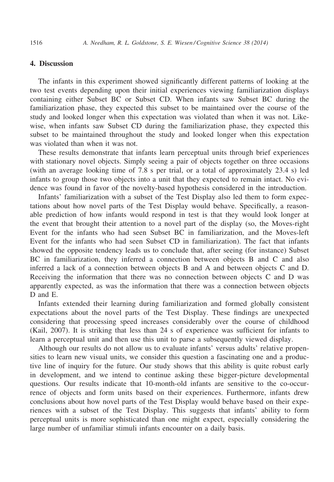## 4. Discussion

The infants in this experiment showed significantly different patterns of looking at the two test events depending upon their initial experiences viewing familiarization displays containing either Subset BC or Subset CD. When infants saw Subset BC during the familiarization phase, they expected this subset to be maintained over the course of the study and looked longer when this expectation was violated than when it was not. Likewise, when infants saw Subset CD during the familiarization phase, they expected this subset to be maintained throughout the study and looked longer when this expectation was violated than when it was not.

These results demonstrate that infants learn perceptual units through brief experiences with stationary novel objects. Simply seeing a pair of objects together on three occasions (with an average looking time of 7.8 s per trial, or a total of approximately 23.4 s) led infants to group those two objects into a unit that they expected to remain intact. No evidence was found in favor of the novelty-based hypothesis considered in the introduction.

Infants' familiarization with a subset of the Test Display also led them to form expectations about how novel parts of the Test Display would behave. Specifically, a reasonable prediction of how infants would respond in test is that they would look longer at the event that brought their attention to a novel part of the display (so, the Moves-right Event for the infants who had seen Subset BC in familiarization, and the Moves-left Event for the infants who had seen Subset CD in familiarization). The fact that infants showed the opposite tendency leads us to conclude that, after seeing (for instance) Subset BC in familiarization, they inferred a connection between objects B and C and also inferred a lack of a connection between objects B and A and between objects C and D. Receiving the information that there was no connection between objects C and D was apparently expected, as was the information that there was a connection between objects D and E.

Infants extended their learning during familiarization and formed globally consistent expectations about the novel parts of the Test Display. These findings are unexpected considering that processing speed increases considerably over the course of childhood (Kail, 2007). It is striking that less than 24 s of experience was sufficient for infants to learn a perceptual unit and then use this unit to parse a subsequently viewed display.

Although our results do not allow us to evaluate infants' versus adults' relative propensities to learn new visual units, we consider this question a fascinating one and a productive line of inquiry for the future. Our study shows that this ability is quite robust early in development, and we intend to continue asking these bigger-picture developmental questions. Our results indicate that 10-month-old infants are sensitive to the co-occurrence of objects and form units based on their experiences. Furthermore, infants drew conclusions about how novel parts of the Test Display would behave based on their experiences with a subset of the Test Display. This suggests that infants' ability to form perceptual units is more sophisticated than one might expect, especially considering the large number of unfamiliar stimuli infants encounter on a daily basis.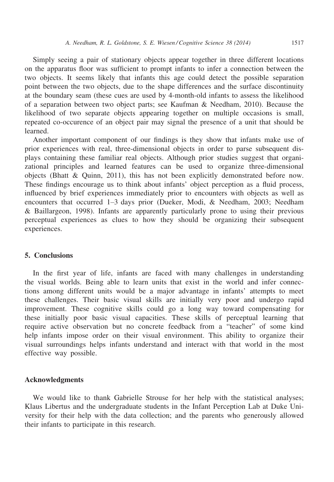Simply seeing a pair of stationary objects appear together in three different locations on the apparatus floor was sufficient to prompt infants to infer a connection between the two objects. It seems likely that infants this age could detect the possible separation point between the two objects, due to the shape differences and the surface discontinuity at the boundary seam (these cues are used by 4-month-old infants to assess the likelihood of a separation between two object parts; see Kaufman & Needham, 2010). Because the likelihood of two separate objects appearing together on multiple occasions is small, repeated co-occurence of an object pair may signal the presence of a unit that should be learned.

Another important component of our findings is they show that infants make use of prior experiences with real, three-dimensional objects in order to parse subsequent displays containing these familiar real objects. Although prior studies suggest that organizational principles and learned features can be used to organize three-dimensional objects (Bhatt & Quinn, 2011), this has not been explicitly demonstrated before now. These findings encourage us to think about infants' object perception as a fluid process, influenced by brief experiences immediately prior to encounters with objects as well as encounters that occurred 1–3 days prior (Dueker, Modi, & Needham, 2003; Needham & Baillargeon, 1998). Infants are apparently particularly prone to using their previous perceptual experiences as clues to how they should be organizing their subsequent experiences.

### 5. Conclusions

In the first year of life, infants are faced with many challenges in understanding the visual worlds. Being able to learn units that exist in the world and infer connections among different units would be a major advantage in infants' attempts to meet these challenges. Their basic visual skills are initially very poor and undergo rapid improvement. These cognitive skills could go a long way toward compensating for these initially poor basic visual capacities. These skills of perceptual learning that require active observation but no concrete feedback from a "teacher" of some kind help infants impose order on their visual environment. This ability to organize their visual surroundings helps infants understand and interact with that world in the most effective way possible.

#### Acknowledgments

We would like to thank Gabrielle Strouse for her help with the statistical analyses; Klaus Libertus and the undergraduate students in the Infant Perception Lab at Duke University for their help with the data collection; and the parents who generously allowed their infants to participate in this research.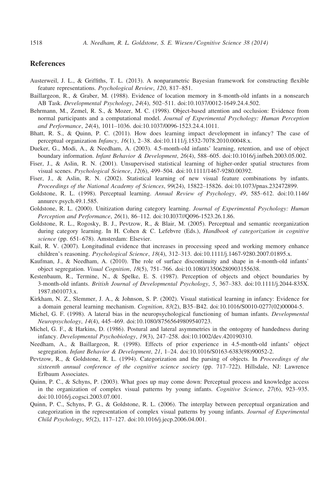#### References

- Austerweil, J. L., & Griffiths, T. L. (2013). A nonparametric Bayesian framework for constructing flexible feature representations. Psychological Review, 120, 817–851.
- Baillargeon, R., & Graber, M. (1988). Evidence of location memory in 8-month-old infants in a nonsearch AB Task. Developmental Psychology, 24(4), 502–511. doi:10.1037/0012-1649.24.4.502.
- Behrmann, M., Zemel, R. S., & Mozer, M. C. (1998). Object-based attention and occlusion: Evidence from normal participants and a computational model. Journal of Experimental Psychology: Human Perception and Performance, 24(4), 1011–1036. doi:10.1037/0096-1523.24.4.1011.
- Bhatt, R. S., & Quinn, P. C. (2011). How does learning impact development in infancy? The case of perceptual organization Infancy, 16(1), 2–38. doi:10.1111/j.1532-7078.2010.00048.x.
- Dueker, G., Modi, A., & Needham, A. (2003). 4.5-month-old infants' learning, retention, and use of object boundary information. Infant Behavior & Development, 26(4), 588–605. doi:10.1016/j.infbeh.2003.05.002.
- Fiser, J., & Aslin, R. N. (2001). Unsupervised statistical learning of higher-order spatial structures from visual scenes. Psychological Science, 12(6), 499–504. doi:10.1111/1467-9280.00392.
- Fiser, J., & Aslin, R. N. (2002). Statistical learning of new visual feature combinations by infants. Proceedings of the National Academy of Sciences, 99(24), 15822–15826. doi:10.1073/pnas.232472899.
- Goldstone, R. L. (1998). Perceptual learning. Annual Review of Psychology, 49, 585–612. doi:10.1146/ annurev.psych.49.1.585.
- Goldstone, R. L. (2000). Unitization during category learning. Journal of Experimental Psychology: Human Perception and Performance, 26(1), 86–112. doi:10.I037//Q096-1523.26.1.86.
- Goldstone, R. L., Rogosky, B. J., Pevtzow, R., & Blair, M. (2005). Perceptual and semantic reorganization during category learning. In H. Cohen & C. Lefebvre (Eds.), Handbook of categorization in cognitive science (pp. 651–678). Amsterdam: Elsevier.
- Kail, R. V. (2007). Longitudinal evidence that increases in processing speed and working memory enhance children's reasoning. Psychological Science, 18(4), 312–313. doi:10.1111/j.1467-9280.2007.01895.x.
- Kaufman, J., & Needham, A. (2010). The role of surface discontinuity and shape in 4-month-old infants' object segregation. Visual Cognition, 18(5), 751–766. doi:10.1080/13506280903155638.
- Kestenbaum, R., Termine, N., & Spelke, E. S. (1987). Perception of objects and object boundaries by 3-month-old infants. British Journal of Developmental Psychology, 5, 367–383. doi:10.1111/j.2044-835X. 1987.tb01073.x.
- Kirkham, N. Z., Slemmer, J. A., & Johnson, S. P. (2002). Visual statistical learning in infancy: Evidence for a domain general learning mechanism. Cognition, 83(2), B35–B42. doi:10.1016/S0010-0277(02)00004-5.
- Michel, G. F. (1998). A lateral bias in the neuropsychological functioning of human infants. *Developmental* Neuropsychology, 14(4), 445–469. doi:10.1080/87565649809540723.
- Michel, G. F., & Harkins, D. (1986). Postural and lateral asymmetries in the ontogeny of handedness during infancy. Developmental Psychobiology, 19(3), 247–258. doi:10.1002/dev.420190310.
- Needham, A., & Baillargeon, R. (1998). Effects of prior experience in 4.5-month-old infants' object segregation. Infant Behavior & Development, 21, 1–24. doi:10.1016/S0163-6383(98)90052-2.
- Pevtzow, R., & Goldstone, R. L. (1994). Categorization and the parsing of objects. In Proceedings of the sixteenth annual conference of the cognitive science society (pp. 717-722). Hillsdale, NJ: Lawrence Erlbaum Associates.
- Quinn, P. C., & Schyns, P. (2003). What goes up may come down: Perceptual process and knowledge access in the organization of complex visual patterns by young infants. Cognitive Science, 27(6), 923–935. doi:10.1016/j.cogsci.2003.07.001.
- Quinn, P. C., Schyns, P. G., & Goldstone, R. L. (2006). The interplay between perceptual organization and categorization in the representation of complex visual patterns by young infants. Journal of Experimental Child Psychology, 95(2), 117–127. doi:10.1016/j.jecp.2006.04.001.